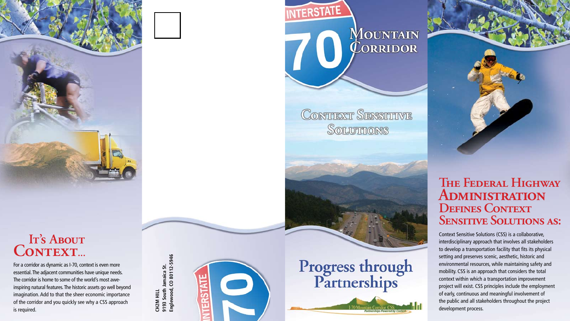



#### **IT's ABOUT** CONTEXT...

CH2M HILL<br>9193 South Jamaica St.<br>Englewood, CO 80112-5946 **Englewood, CO 80112-5946 9193 South Jamaica St. CH2M HILL**



# Progress through<br>Partnerships

**MOUNTAIN**<br>**CORRIDOR** 

CONTIEXT SENSITIVE SOLUTTIONS

**ITERSTATE** 



For a corridor as dynamic as I-70, context is even more essential. The adjacent communities have unique needs. The corridor is home to some of the world's most aweinspiring natural features. The historic assets go well beyond imagination. Add to that the sheer economic importance of the corridor and you quickly see why a CSS approach is required.

Context Sensitive Solutions (CSS) is a collaborative, interdisciplinary approach that involves all stakeholders to develop a transportation facility that fits its physical setting and preserves scenic, aesthetic, historic and environmental resources, while maintaining safety and mobility. CSS is an approach that considers the total context within which a transportation improvement project will exist. CSS principles include the employment of early, continuous and meaningful involvement of the public and all stakeholders throughout the project development process.

#### **The Federal Highway Administration Defines Context Sensitive Solutions as:**